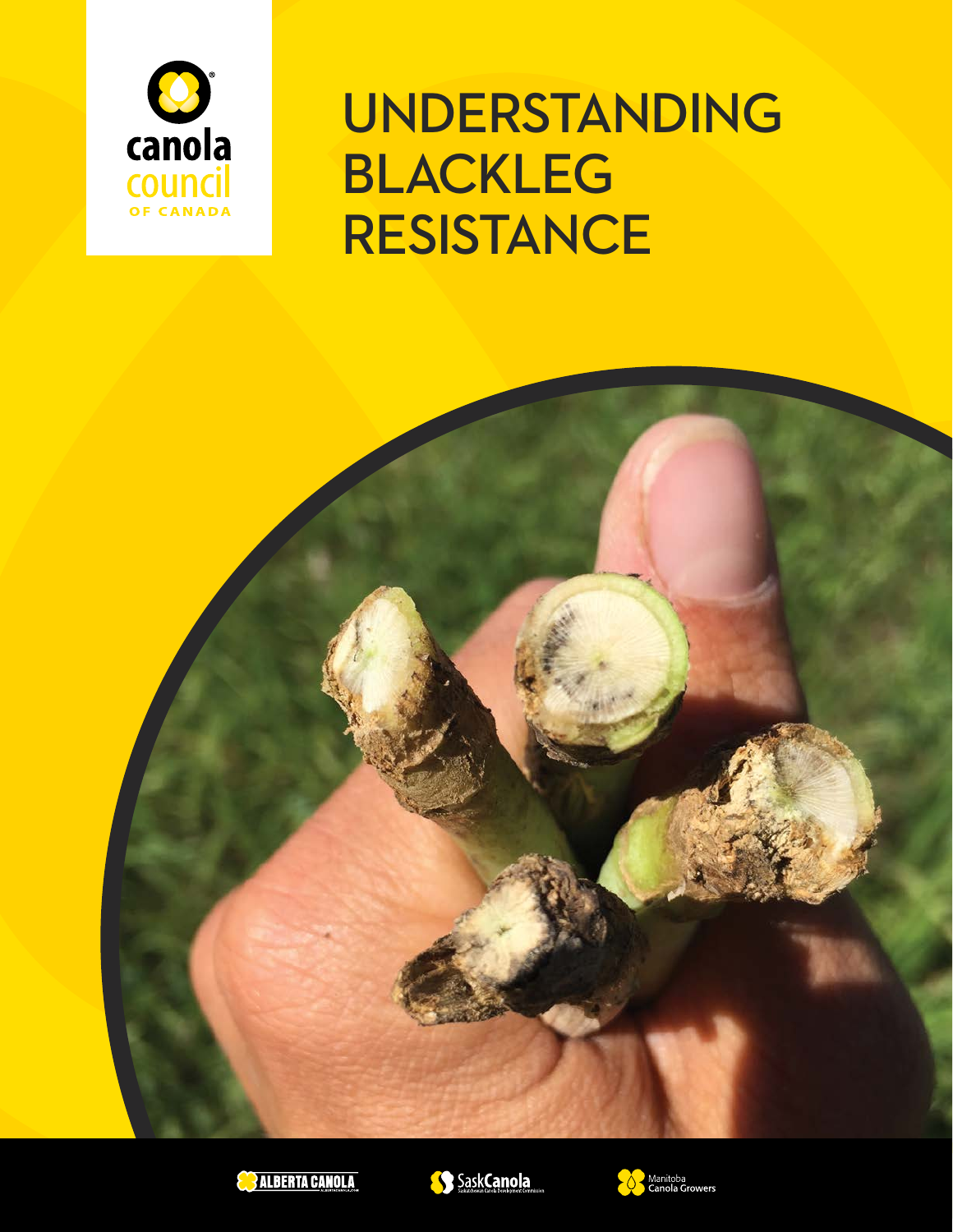

UNDERSTANDING BLACKLEG RESISTANCE







' Manitoba<br><sub>'</sub> Canola Growers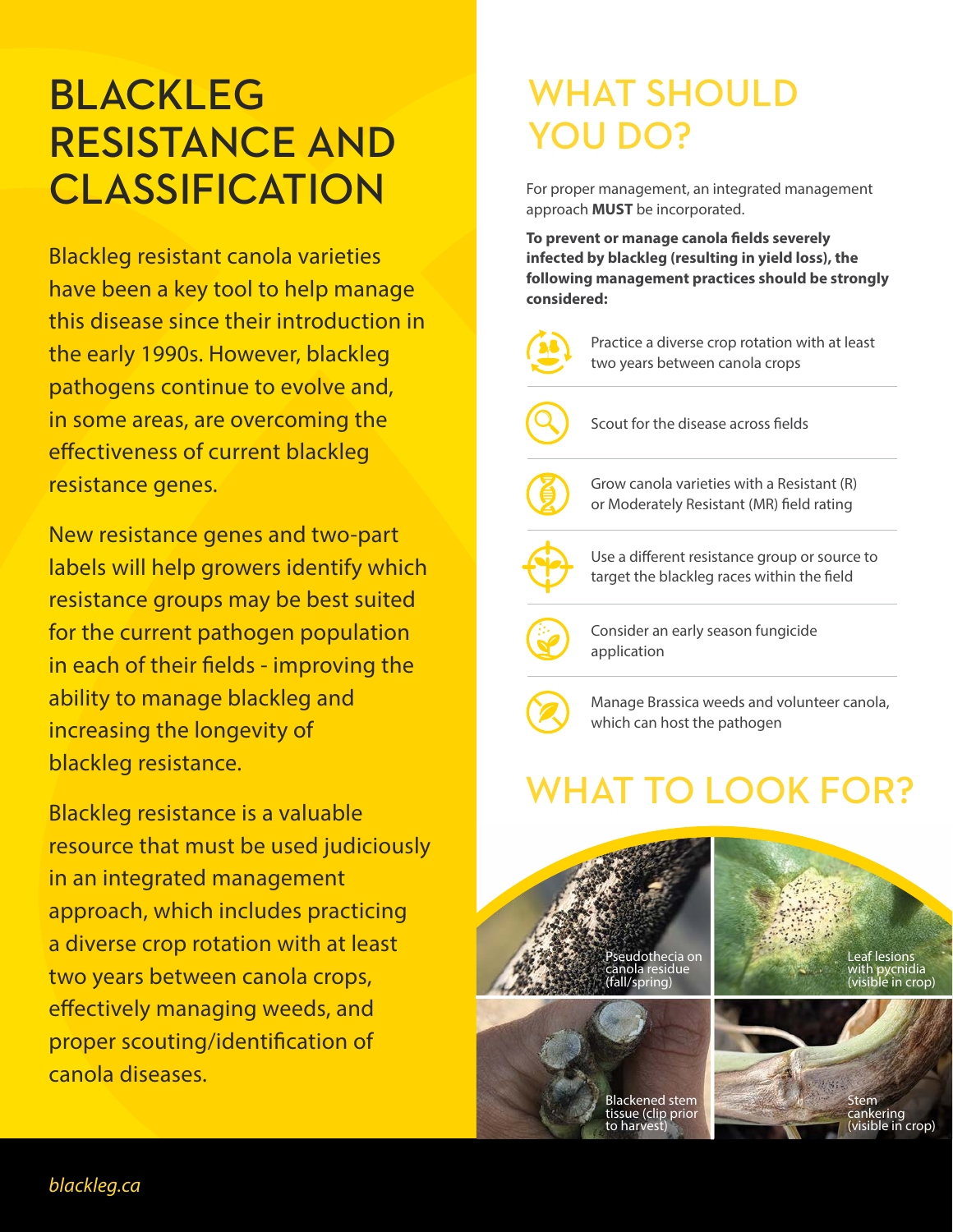## BLACKLEG RESISTANCE AND **CLASSIFICATION**

Blackleg resistant canola varieties have been a key tool to help manage this disease since their introduction in the early 1990s. However, blackleg pathogens continue to evolve and, in some areas, are overcoming the effectiveness of current blackleg resistance genes.

New resistance genes and two-part labels will help growers identify which resistance groups may be best suited for the current pathogen population in each of their fields - improving the ability to manage blackleg and increasing the longevity of blackleg resistance.

Blackleg resistance is a valuable resource that must be used judiciously in an integrated management approach, which includes practicing a diverse crop rotation with at least two years between canola crops, effectively managing weeds, and proper scouting/identification of canola diseases.

### WHAT SHOULD YOU DO?

For proper management, an integrated management approach **MUST** be incorporated.

**To prevent or manage canola fields severely infected by blackleg (resulting in yield loss), the following management practices should be strongly considered:**





Manage Brassica weeds and volunteer canola, which can host the pathogen

# WHAT TO LOOK FOR?

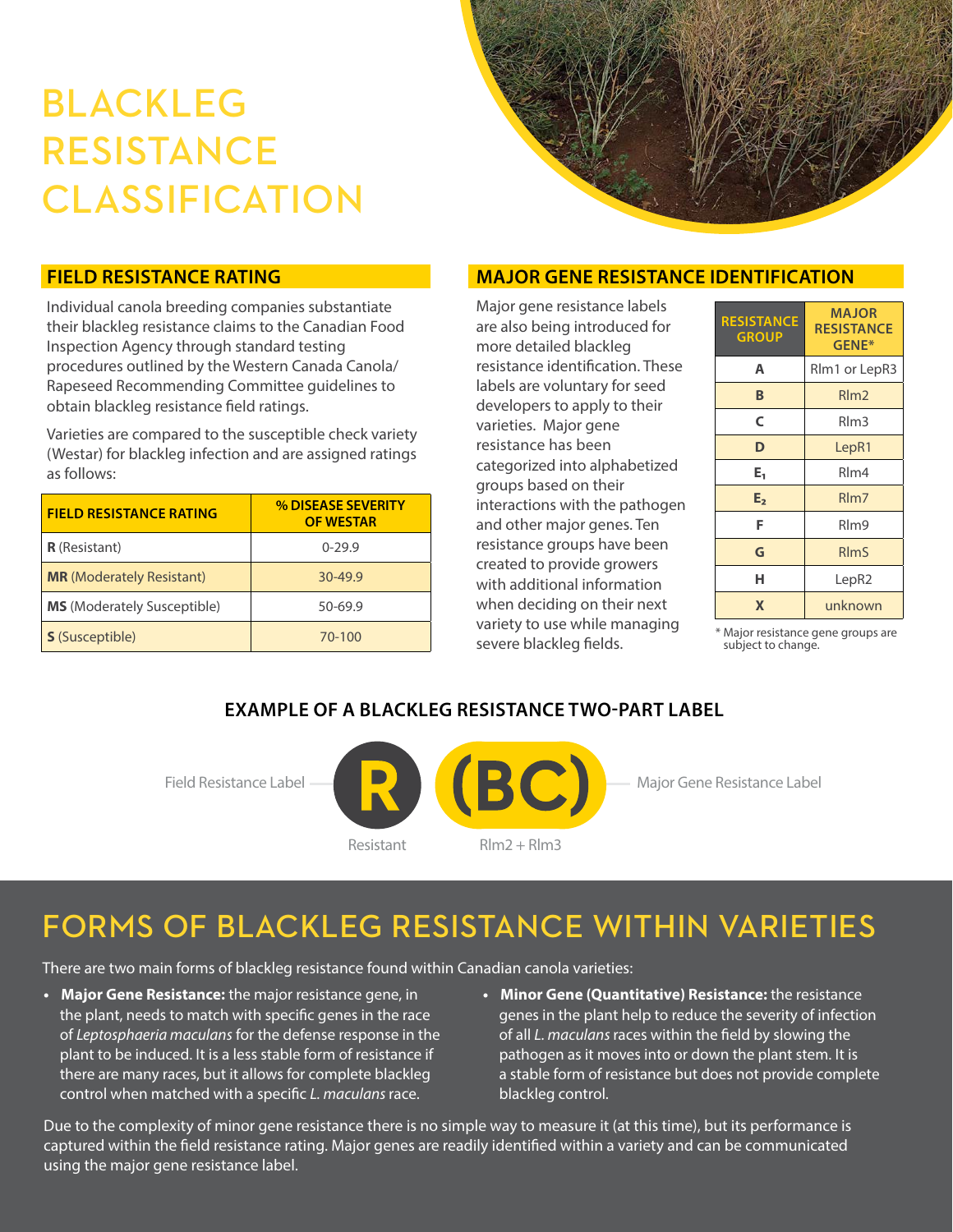# BLACKLEG RESISTANCE CLASSIFICATION



#### **FIELD RESISTANCE RATING**

Individual canola breeding companies substantiate their blackleg resistance claims to the Canadian Food Inspection Agency through standard testing procedures outlined by the Western Canada Canola/ Rapeseed Recommending Committee guidelines to obtain blackleg resistance field ratings.

Varieties are compared to the susceptible check variety (Westar) for blackleg infection and are assigned ratings as follows:

| <b>FIELD RESISTANCE RATING</b>     | % DISEASE SEVERITY<br><b>OF WESTAR</b> |
|------------------------------------|----------------------------------------|
| <b>R</b> (Resistant)               | $0-29.9$                               |
| <b>MR</b> (Moderately Resistant)   | 30-49.9                                |
| <b>MS</b> (Moderately Susceptible) | 50-69.9                                |
| <b>S</b> (Susceptible)             | 70-100                                 |

#### **MAJOR GENE RESISTANCE IDENTIFICATION**

Major gene resistance labels are also being introduced for more detailed blackleg resistance identification. These labels are voluntary for seed developers to apply to their varieties. Major gene resistance has been categorized into alphabetized groups based on their interactions with the pathogen and other major genes. Ten resistance groups have been created to provide growers with additional information when deciding on their next variety to use while managing severe blackleg fields.

| <b>RESISTANCE</b><br><b>GROUP</b> | <b>MAJOR</b><br><b>RESISTANCE</b><br>GENE* |
|-----------------------------------|--------------------------------------------|
| Α                                 | Rlm1 or LepR3                              |
| B                                 | $R$ m <sub>2</sub>                         |
| C                                 | RIm3                                       |
| D                                 | LepR1                                      |
| E,                                | Rlm4                                       |
| E <sub>2</sub>                    | R <sub>lm</sub> 7                          |
| F                                 | Rlm9                                       |
| G                                 | <b>RImS</b>                                |
| н                                 | LepR2                                      |
| X                                 | unknown                                    |

**S** (Susceptible) 70-100 \* Major resistance gene groups are subject to change.

#### **EXAMPLE OF A BLACKLEG RESISTANCE TWO-PART LABEL**



Field Resistance Label **Major General Major Gene Resistance Label** 

### FORMS OF BLACKLEG RESISTANCE WITHIN VARIETIES

There are two main forms of blackleg resistance found within Canadian canola varieties:

- **Major Gene Resistance:** the major resistance gene, in the plant, needs to match with specific genes in the race of *Leptosphaeria maculans* for the defense response in the plant to be induced. It is a less stable form of resistance if there are many races, but it allows for complete blackleg control when matched with a specific *L. maculans* race.
- **• Minor Gene (Quantitative) Resistance:** the resistance genes in the plant help to reduce the severity of infection of all *L. maculans* races within the field by slowing the pathogen as it moves into or down the plant stem. It is a stable form of resistance but does not provide complete blackleg control.

Due to the complexity of minor gene resistance there is no simple way to measure it (at this time), but its performance is captured within the field resistance rating. Major genes are readily identified within a variety and can be communicated using the major gene resistance label.